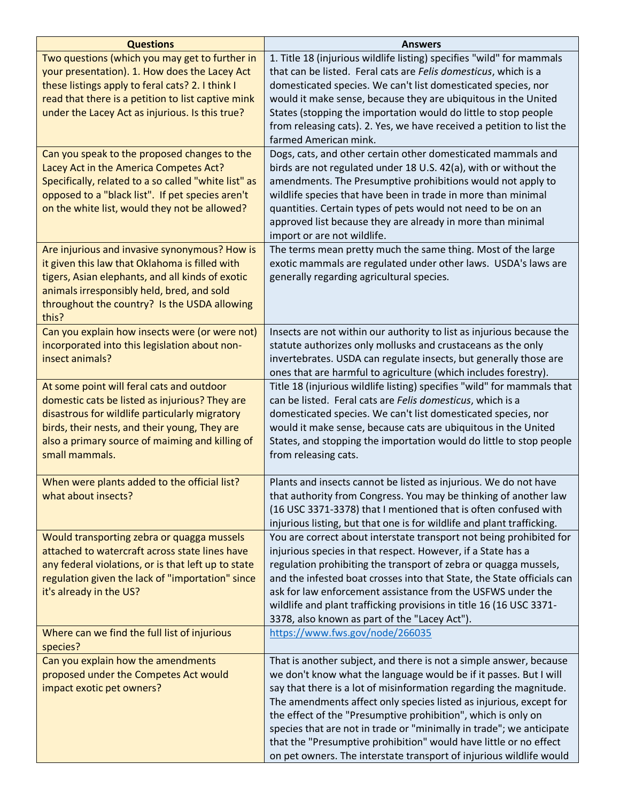| <b>Questions</b>                                                                                                                                                                                                                                                    | <b>Answers</b>                                                                                                                                                                                                                                                                                                                                                                                                                                                                                                                                                           |
|---------------------------------------------------------------------------------------------------------------------------------------------------------------------------------------------------------------------------------------------------------------------|--------------------------------------------------------------------------------------------------------------------------------------------------------------------------------------------------------------------------------------------------------------------------------------------------------------------------------------------------------------------------------------------------------------------------------------------------------------------------------------------------------------------------------------------------------------------------|
| Two questions (which you may get to further in<br>your presentation). 1. How does the Lacey Act<br>these listings apply to feral cats? 2. I think I<br>read that there is a petition to list captive mink<br>under the Lacey Act as injurious. Is this true?        | 1. Title 18 (injurious wildlife listing) specifies "wild" for mammals<br>that can be listed. Feral cats are Felis domesticus, which is a<br>domesticated species. We can't list domesticated species, nor<br>would it make sense, because they are ubiquitous in the United<br>States (stopping the importation would do little to stop people<br>from releasing cats). 2. Yes, we have received a petition to list the<br>farmed American mink.                                                                                                                         |
| Can you speak to the proposed changes to the<br>Lacey Act in the America Competes Act?<br>Specifically, related to a so called "white list" as<br>opposed to a "black list". If pet species aren't<br>on the white list, would they not be allowed?                 | Dogs, cats, and other certain other domesticated mammals and<br>birds are not regulated under 18 U.S. 42(a), with or without the<br>amendments. The Presumptive prohibitions would not apply to<br>wildlife species that have been in trade in more than minimal<br>quantities. Certain types of pets would not need to be on an<br>approved list because they are already in more than minimal<br>import or are not wildlife.                                                                                                                                           |
| Are injurious and invasive synonymous? How is<br>it given this law that Oklahoma is filled with<br>tigers, Asian elephants, and all kinds of exotic<br>animals irresponsibly held, bred, and sold<br>throughout the country? Is the USDA allowing<br>this?          | The terms mean pretty much the same thing. Most of the large<br>exotic mammals are regulated under other laws. USDA's laws are<br>generally regarding agricultural species.                                                                                                                                                                                                                                                                                                                                                                                              |
| Can you explain how insects were (or were not)<br>incorporated into this legislation about non-<br>insect animals?                                                                                                                                                  | Insects are not within our authority to list as injurious because the<br>statute authorizes only mollusks and crustaceans as the only<br>invertebrates. USDA can regulate insects, but generally those are<br>ones that are harmful to agriculture (which includes forestry).                                                                                                                                                                                                                                                                                            |
| At some point will feral cats and outdoor<br>domestic cats be listed as injurious? They are<br>disastrous for wildlife particularly migratory<br>birds, their nests, and their young, They are<br>also a primary source of maiming and killing of<br>small mammals. | Title 18 (injurious wildlife listing) specifies "wild" for mammals that<br>can be listed. Feral cats are Felis domesticus, which is a<br>domesticated species. We can't list domesticated species, nor<br>would it make sense, because cats are ubiquitous in the United<br>States, and stopping the importation would do little to stop people<br>from releasing cats.                                                                                                                                                                                                  |
| When were plants added to the official list?<br>what about insects?                                                                                                                                                                                                 | Plants and insects cannot be listed as injurious. We do not have<br>that authority from Congress. You may be thinking of another law<br>(16 USC 3371-3378) that I mentioned that is often confused with<br>injurious listing, but that one is for wildlife and plant trafficking.                                                                                                                                                                                                                                                                                        |
| Would transporting zebra or quagga mussels<br>attached to watercraft across state lines have<br>any federal violations, or is that left up to state<br>regulation given the lack of "importation" since<br>it's already in the US?                                  | You are correct about interstate transport not being prohibited for<br>injurious species in that respect. However, if a State has a<br>regulation prohibiting the transport of zebra or quagga mussels,<br>and the infested boat crosses into that State, the State officials can<br>ask for law enforcement assistance from the USFWS under the<br>wildlife and plant trafficking provisions in title 16 (16 USC 3371-<br>3378, also known as part of the "Lacey Act").                                                                                                 |
| Where can we find the full list of injurious<br>species?                                                                                                                                                                                                            | https://www.fws.gov/node/266035                                                                                                                                                                                                                                                                                                                                                                                                                                                                                                                                          |
| Can you explain how the amendments<br>proposed under the Competes Act would<br>impact exotic pet owners?                                                                                                                                                            | That is another subject, and there is not a simple answer, because<br>we don't know what the language would be if it passes. But I will<br>say that there is a lot of misinformation regarding the magnitude.<br>The amendments affect only species listed as injurious, except for<br>the effect of the "Presumptive prohibition", which is only on<br>species that are not in trade or "minimally in trade"; we anticipate<br>that the "Presumptive prohibition" would have little or no effect<br>on pet owners. The interstate transport of injurious wildlife would |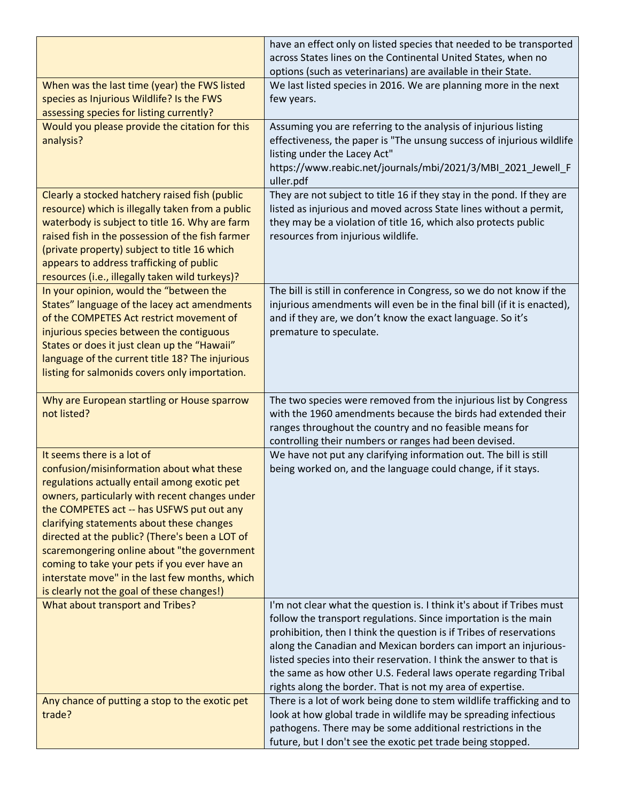|                                                                                                                                                                                                                                                                                                                                                                                                                                                                        | have an effect only on listed species that needed to be transported<br>across States lines on the Continental United States, when no<br>options (such as veterinarians) are available in their State.                                                                                                                                                                                                                                                                                        |
|------------------------------------------------------------------------------------------------------------------------------------------------------------------------------------------------------------------------------------------------------------------------------------------------------------------------------------------------------------------------------------------------------------------------------------------------------------------------|----------------------------------------------------------------------------------------------------------------------------------------------------------------------------------------------------------------------------------------------------------------------------------------------------------------------------------------------------------------------------------------------------------------------------------------------------------------------------------------------|
| When was the last time (year) the FWS listed<br>species as Injurious Wildlife? Is the FWS<br>assessing species for listing currently?                                                                                                                                                                                                                                                                                                                                  | We last listed species in 2016. We are planning more in the next<br>few years.                                                                                                                                                                                                                                                                                                                                                                                                               |
| Would you please provide the citation for this<br>analysis?                                                                                                                                                                                                                                                                                                                                                                                                            | Assuming you are referring to the analysis of injurious listing<br>effectiveness, the paper is "The unsung success of injurious wildlife<br>listing under the Lacey Act"<br>https://www.reabic.net/journals/mbi/2021/3/MBI_2021_Jewell_F<br>uller.pdf                                                                                                                                                                                                                                        |
| Clearly a stocked hatchery raised fish (public<br>resource) which is illegally taken from a public<br>waterbody is subject to title 16. Why are farm<br>raised fish in the possession of the fish farmer<br>(private property) subject to title 16 which<br>appears to address trafficking of public<br>resources (i.e., illegally taken wild turkeys)?                                                                                                                | They are not subject to title 16 if they stay in the pond. If they are<br>listed as injurious and moved across State lines without a permit,<br>they may be a violation of title 16, which also protects public<br>resources from injurious wildlife.                                                                                                                                                                                                                                        |
| In your opinion, would the "between the<br>States" language of the lacey act amendments<br>of the COMPETES Act restrict movement of<br>injurious species between the contiguous<br>States or does it just clean up the "Hawaii"<br>language of the current title 18? The injurious<br>listing for salmonids covers only importation.                                                                                                                                   | The bill is still in conference in Congress, so we do not know if the<br>injurious amendments will even be in the final bill (if it is enacted),<br>and if they are, we don't know the exact language. So it's<br>premature to speculate.                                                                                                                                                                                                                                                    |
|                                                                                                                                                                                                                                                                                                                                                                                                                                                                        |                                                                                                                                                                                                                                                                                                                                                                                                                                                                                              |
| Why are European startling or House sparrow<br>not listed?                                                                                                                                                                                                                                                                                                                                                                                                             | The two species were removed from the injurious list by Congress<br>with the 1960 amendments because the birds had extended their<br>ranges throughout the country and no feasible means for<br>controlling their numbers or ranges had been devised.                                                                                                                                                                                                                                        |
| It seems there is a lot of<br>confusion/misinformation about what these<br>regulations actually entail among exotic pet<br>owners, particularly with recent changes under<br>the COMPETES act -- has USFWS put out any<br>clarifying statements about these changes<br>directed at the public? (There's been a LOT of<br>scaremongering online about "the government<br>coming to take your pets if you ever have an<br>interstate move" in the last few months, which | We have not put any clarifying information out. The bill is still<br>being worked on, and the language could change, if it stays.                                                                                                                                                                                                                                                                                                                                                            |
| is clearly not the goal of these changes!)<br>What about transport and Tribes?                                                                                                                                                                                                                                                                                                                                                                                         | I'm not clear what the question is. I think it's about if Tribes must<br>follow the transport regulations. Since importation is the main<br>prohibition, then I think the question is if Tribes of reservations<br>along the Canadian and Mexican borders can import an injurious-<br>listed species into their reservation. I think the answer to that is<br>the same as how other U.S. Federal laws operate regarding Tribal<br>rights along the border. That is not my area of expertise. |